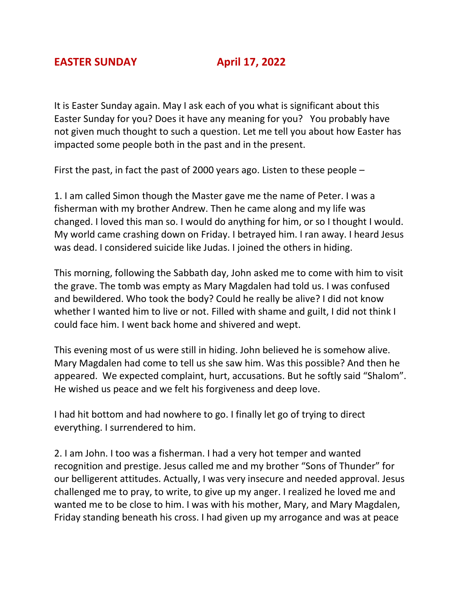It is Easter Sunday again. May I ask each of you what is significant about this Easter Sunday for you? Does it have any meaning for you? You probably have not given much thought to such a question. Let me tell you about how Easter has impacted some people both in the past and in the present.

First the past, in fact the past of 2000 years ago. Listen to these people –

1. I am called Simon though the Master gave me the name of Peter. I was a fisherman with my brother Andrew. Then he came along and my life was changed. I loved this man so. I would do anything for him, or so I thought I would. My world came crashing down on Friday. I betrayed him. I ran away. I heard Jesus was dead. I considered suicide like Judas. I joined the others in hiding.

This morning, following the Sabbath day, John asked me to come with him to visit the grave. The tomb was empty as Mary Magdalen had told us. I was confused and bewildered. Who took the body? Could he really be alive? I did not know whether I wanted him to live or not. Filled with shame and guilt, I did not think I could face him. I went back home and shivered and wept.

This evening most of us were still in hiding. John believed he is somehow alive. Mary Magdalen had come to tell us she saw him. Was this possible? And then he appeared. We expected complaint, hurt, accusations. But he softly said "Shalom". He wished us peace and we felt his forgiveness and deep love.

I had hit bottom and had nowhere to go. I finally let go of trying to direct everything. I surrendered to him.

2. I am John. I too was a fisherman. I had a very hot temper and wanted recognition and prestige. Jesus called me and my brother "Sons of Thunder" for our belligerent attitudes. Actually, I was very insecure and needed approval. Jesus challenged me to pray, to write, to give up my anger. I realized he loved me and wanted me to be close to him. I was with his mother, Mary, and Mary Magdalen, Friday standing beneath his cross. I had given up my arrogance and was at peace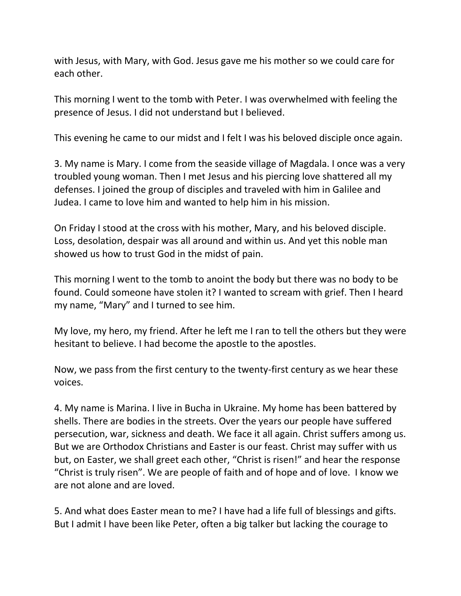with Jesus, with Mary, with God. Jesus gave me his mother so we could care for each other.

This morning I went to the tomb with Peter. I was overwhelmed with feeling the presence of Jesus. I did not understand but I believed.

This evening he came to our midst and I felt I was his beloved disciple once again.

3. My name is Mary. I come from the seaside village of Magdala. I once was a very troubled young woman. Then I met Jesus and his piercing love shattered all my defenses. I joined the group of disciples and traveled with him in Galilee and Judea. I came to love him and wanted to help him in his mission.

On Friday I stood at the cross with his mother, Mary, and his beloved disciple. Loss, desolation, despair was all around and within us. And yet this noble man showed us how to trust God in the midst of pain.

This morning I went to the tomb to anoint the body but there was no body to be found. Could someone have stolen it? I wanted to scream with grief. Then I heard my name, "Mary" and I turned to see him.

My love, my hero, my friend. After he left me I ran to tell the others but they were hesitant to believe. I had become the apostle to the apostles.

Now, we pass from the first century to the twenty-first century as we hear these voices.

4. My name is Marina. I live in Bucha in Ukraine. My home has been battered by shells. There are bodies in the streets. Over the years our people have suffered persecution, war, sickness and death. We face it all again. Christ suffers among us. But we are Orthodox Christians and Easter is our feast. Christ may suffer with us but, on Easter, we shall greet each other, "Christ is risen!" and hear the response "Christ is truly risen". We are people of faith and of hope and of love. I know we are not alone and are loved.

5. And what does Easter mean to me? I have had a life full of blessings and gifts. But I admit I have been like Peter, often a big talker but lacking the courage to